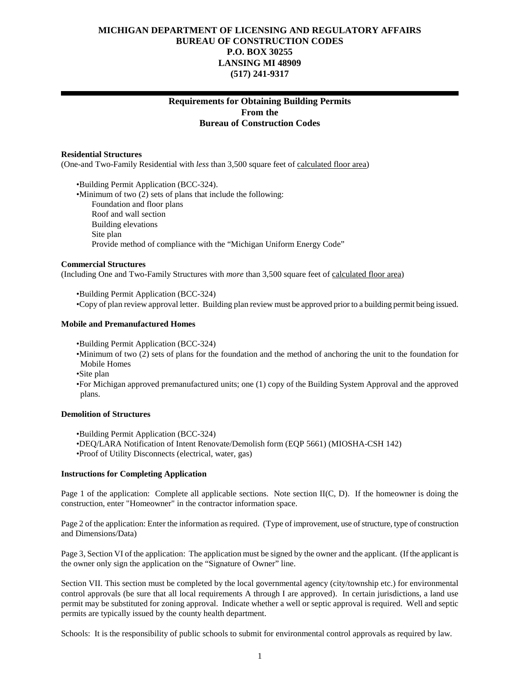# **MICHIGAN DEPARTMENT OF LICENSING AND REGULATORY AFFAIRS BUREAU OF CONSTRUCTION CODES P.O. BOX 30255 LANSING MI 48909 (517) 241-9317**

# **Requirements for Obtaining Building Permits From the Bureau of Construction Codes**

#### **Residential Structures**

(One-and Two-Family Residential with *less* than 3,500 square feet of calculated floor area)

•Building Permit Application (BCC-324). •Minimum of two (2) sets of plans that include the following: Foundation and floor plans Roof and wall section Building elevations Site plan Provide method of compliance with the "Michigan Uniform Energy Code"

#### **Commercial Structures**

(Including One and Two-Family Structures with *more* than 3,500 square feet of calculated floor area)

•Building Permit Application (BCC-324)

•Copy of plan review approval letter. Building plan review must be approved prior to a building permit being issued.

# **Mobile and Premanufactured Homes**

•Building Permit Application (BCC-324)

•Minimum of two (2) sets of plans for the foundation and the method of anchoring the unit to the foundation for Mobile Homes

•Site plan

•For Michigan approved premanufactured units; one (1) copy of the Building System Approval and the approved plans.

# **Demolition of Structures**

•Building Permit Application (BCC-324)

•DEQ/LARA Notification of Intent Renovate/Demolish form (EQP 5661) (MIOSHA-CSH 142) •Proof of Utility Disconnects (electrical, water, gas)

#### **Instructions for Completing Application**

Page 1 of the application: Complete all applicable sections. Note section II(C, D). If the homeowner is doing the construction, enter "Homeowner" in the contractor information space.

Page 2 of the application: Enter the information as required. (Type of improvement, use of structure, type of construction and Dimensions/Data)

Page 3, Section VI of the application: The application must be signed by the owner and the applicant. (If the applicant is the owner only sign the application on the "Signature of Owner" line.

Section VII. This section must be completed by the local governmental agency (city/township etc.) for environmental control approvals (be sure that all local requirements A through I are approved). In certain jurisdictions, a land use permit may be substituted for zoning approval. Indicate whether a well or septic approval is required. Well and septic permits are typically issued by the county health department.

Schools: It is the responsibility of public schools to submit for environmental control approvals as required by law.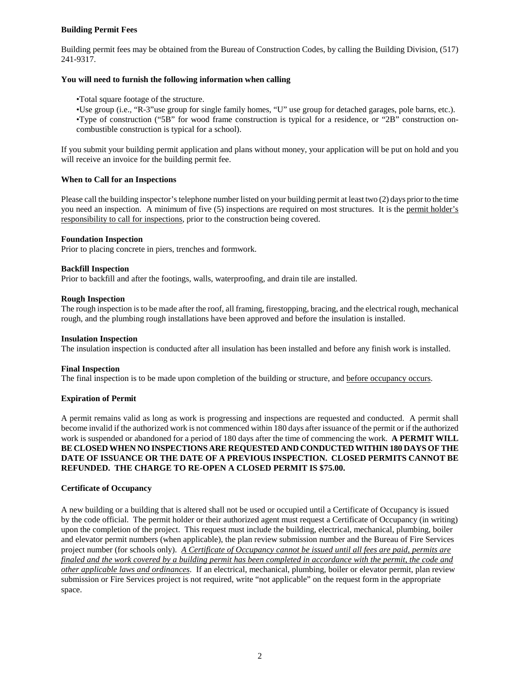# **Building Permit Fees**

Building permit fees may be obtained from the Bureau of Construction Codes, by calling the Building Division, (517) 241-9317.

# **You will need to furnish the following information when calling**

•Total square footage of the structure.

•Use group (i.e., "R-3"use group for single family homes, "U" use group for detached garages, pole barns, etc.). •Type of construction ("5B" for wood frame construction is typical for a residence, or "2B" construction oncombustible construction is typical for a school).

If you submit your building permit application and plans without money, your application will be put on hold and you will receive an invoice for the building permit fee.

# **When to Call for an Inspections**

Please call the building inspector's telephone number listed on your building permit at least two (2) days prior to the time you need an inspection. A minimum of five (5) inspections are required on most structures. It is the permit holder's responsibility to call for inspections, prior to the construction being covered.

#### **Foundation Inspection**

Prior to placing concrete in piers, trenches and formwork.

# **Backfill Inspection**

Prior to backfill and after the footings, walls, waterproofing, and drain tile are installed.

# **Rough Inspection**

The rough inspection is to be made after the roof, all framing, firestopping, bracing, and the electrical rough, mechanical rough, and the plumbing rough installations have been approved and before the insulation is installed.

### **Insulation Inspection**

The insulation inspection is conducted after all insulation has been installed and before any finish work is installed.

# **Final Inspection**

The final inspection is to be made upon completion of the building or structure, and before occupancy occurs.

# **Expiration of Permit**

A permit remains valid as long as work is progressing and inspections are requested and conducted. A permit shall become invalid if the authorized work is not commenced within 180 days after issuance of the permit or if the authorized work is suspended or abandoned for a period of 180 days after the time of commencing the work. **A PERMIT WILL BE CLOSED WHEN NO INSPECTIONS ARE REQUESTED AND CONDUCTED WITHIN 180 DAYS OF THE DATE OF ISSUANCE OR THE DATE OF A PREVIOUS INSPECTION. CLOSED PERMITS CANNOT BE REFUNDED. THE CHARGE TO RE-OPEN A CLOSED PERMIT IS \$75.00.**

# **Certificate of Occupancy**

A new building or a building that is altered shall not be used or occupied until a Certificate of Occupancy is issued by the code official. The permit holder or their authorized agent must request a Certificate of Occupancy (in writing) upon the completion of the project. This request must include the building, electrical, mechanical, plumbing, boiler and elevator permit numbers (when applicable), the plan review submission number and the Bureau of Fire Services project number (for schools only). *A Certificate of Occupancy cannot be issued until all fees are paid, permits are finaled and the work covered by a building permit has been completed in accordance with the permit, the code and other applicable laws and ordinances*. If an electrical, mechanical, plumbing, boiler or elevator permit, plan review submission or Fire Services project is not required, write "not applicable" on the request form in the appropriate space.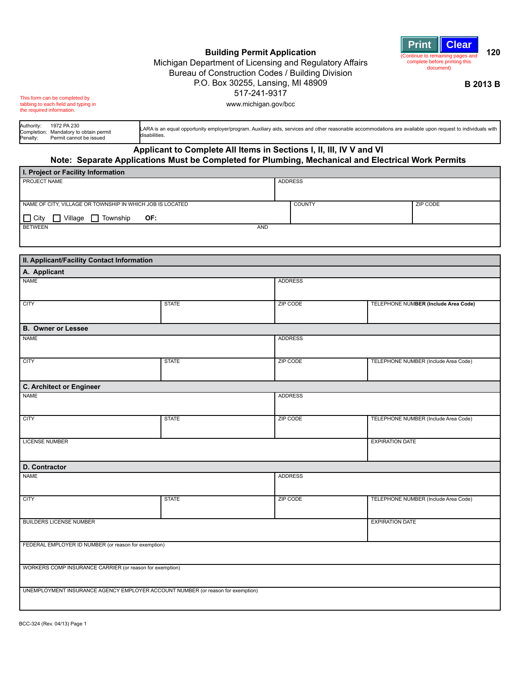

**Building Permit Application** Michigan Department of Licensing and Regulatory Affairs Bureau of Construction Codes / Building Division P.O. Box 30255, Lansing, MI 48909 517-241-9317 www.michigan.gov/bcc

**B 2013 B**

This form can be completed by tabbing to each field and typing in the required information.

Authority: 1972 PA 230 Completion: Mandatory to obtain permit<br>Penalty: Permit cannot be issued Permit cannot be issued LARA is an equal opportunity employer/program. Auxiliary aids, services and other reasonable accommodations are available upon request to individuals with disabilities.

# **Applicant to Complete All Items in Sections I, II, III, IV V and VI Note: Separate Applications Must be Completed for Plumbing, Mechanical and Electrical Work Permits**

| I. Project or Facility Information                        |                |          |  |  |  |  |  |  |  |  |
|-----------------------------------------------------------|----------------|----------|--|--|--|--|--|--|--|--|
| <b>PROJECT NAME</b>                                       | <b>ADDRESS</b> |          |  |  |  |  |  |  |  |  |
|                                                           |                |          |  |  |  |  |  |  |  |  |
| NAME OF CITY, VILLAGE OR TOWNSHIP IN WHICH JOB IS LOCATED | <b>COUNTY</b>  | ZIP CODE |  |  |  |  |  |  |  |  |
| $\Box$ City<br>Village<br>Township<br>OF:                 |                |          |  |  |  |  |  |  |  |  |
| <b>BETWEEN</b><br>AND                                     |                |          |  |  |  |  |  |  |  |  |
|                                                           |                |          |  |  |  |  |  |  |  |  |

| II. Applicant/Facility Contact Information               |                                                                                 |                |                                      |
|----------------------------------------------------------|---------------------------------------------------------------------------------|----------------|--------------------------------------|
| A. Applicant                                             |                                                                                 |                |                                      |
| <b>NAME</b>                                              |                                                                                 | <b>ADDRESS</b> |                                      |
|                                                          |                                                                                 |                |                                      |
| <b>CITY</b>                                              | <b>STATE</b>                                                                    | ZIP CODE       | TELEPHONE NUMBER (Include Area Code) |
|                                                          |                                                                                 |                |                                      |
| <b>B. Owner or Lessee</b>                                |                                                                                 |                |                                      |
| <b>NAME</b>                                              |                                                                                 | <b>ADDRESS</b> |                                      |
|                                                          |                                                                                 |                |                                      |
| <b>CITY</b>                                              | <b>STATE</b>                                                                    | ZIP CODE       | TELEPHONE NUMBER (Include Area Code) |
|                                                          |                                                                                 |                |                                      |
| <b>C. Architect or Engineer</b>                          |                                                                                 |                |                                      |
| <b>NAME</b>                                              |                                                                                 | <b>ADDRESS</b> |                                      |
|                                                          |                                                                                 |                |                                      |
| <b>CITY</b>                                              | <b>STATE</b>                                                                    | ZIP CODE       | TELEPHONE NUMBER (Include Area Code) |
|                                                          |                                                                                 |                |                                      |
| <b>LICENSE NUMBER</b>                                    |                                                                                 |                | <b>EXPIRATION DATE</b>               |
|                                                          |                                                                                 |                |                                      |
| D. Contractor                                            |                                                                                 |                |                                      |
| <b>NAME</b>                                              |                                                                                 | <b>ADDRESS</b> |                                      |
|                                                          |                                                                                 |                |                                      |
| <b>CITY</b>                                              | <b>STATE</b>                                                                    | ZIP CODE       | TELEPHONE NUMBER (Include Area Code) |
|                                                          |                                                                                 |                |                                      |
| <b>BUILDERS LICENSE NUMBER</b>                           |                                                                                 |                | <b>EXPIRATION DATE</b>               |
|                                                          |                                                                                 |                |                                      |
| FEDERAL EMPLOYER ID NUMBER (or reason for exemption)     |                                                                                 |                |                                      |
|                                                          |                                                                                 |                |                                      |
| WORKERS COMP INSURANCE CARRIER (or reason for exemption) |                                                                                 |                |                                      |
|                                                          |                                                                                 |                |                                      |
|                                                          | UNEMPLOYMENT INSURANCE AGENCY EMPLOYER ACCOUNT NUMBER (or reason for exemption) |                |                                      |
|                                                          |                                                                                 |                |                                      |
|                                                          |                                                                                 |                |                                      |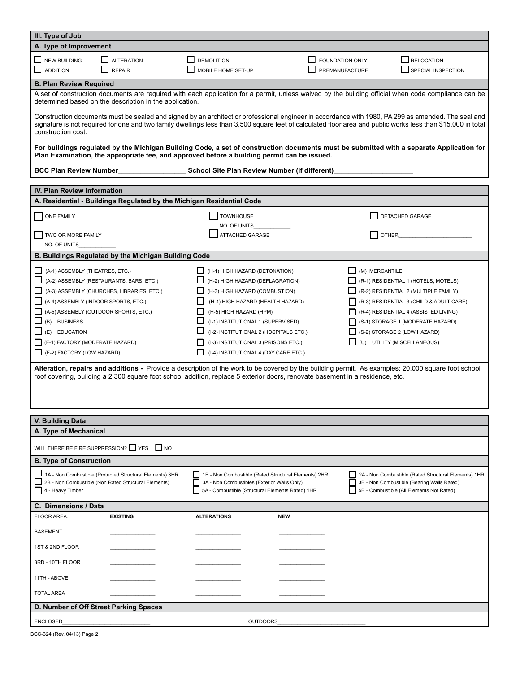| III. Type of Job                                                                                                                                                                                                                                                                                                                         |                                                                       |                                                                                             |                                                                                                                                                     |                                                      |  |  |  |  |  |  |  |
|------------------------------------------------------------------------------------------------------------------------------------------------------------------------------------------------------------------------------------------------------------------------------------------------------------------------------------------|-----------------------------------------------------------------------|---------------------------------------------------------------------------------------------|-----------------------------------------------------------------------------------------------------------------------------------------------------|------------------------------------------------------|--|--|--|--|--|--|--|
| A. Type of Improvement                                                                                                                                                                                                                                                                                                                   |                                                                       |                                                                                             |                                                                                                                                                     |                                                      |  |  |  |  |  |  |  |
| NEW BUILDING                                                                                                                                                                                                                                                                                                                             | <b>ALTERATION</b>                                                     | <b>DEMOLITION</b>                                                                           | <b>FOUNDATION ONLY</b>                                                                                                                              | RELOCATION                                           |  |  |  |  |  |  |  |
|                                                                                                                                                                                                                                                                                                                                          |                                                                       |                                                                                             |                                                                                                                                                     |                                                      |  |  |  |  |  |  |  |
| <b>ADDITION</b>                                                                                                                                                                                                                                                                                                                          | <b>REPAIR</b>                                                         | MOBILE HOME SET-UP                                                                          | PREMANUFACTURE                                                                                                                                      | SPECIAL INSPECTION                                   |  |  |  |  |  |  |  |
| <b>B. Plan Review Required</b>                                                                                                                                                                                                                                                                                                           |                                                                       |                                                                                             |                                                                                                                                                     |                                                      |  |  |  |  |  |  |  |
|                                                                                                                                                                                                                                                                                                                                          |                                                                       |                                                                                             | A set of construction documents are required with each application for a permit, unless waived by the building official when code compliance can be |                                                      |  |  |  |  |  |  |  |
|                                                                                                                                                                                                                                                                                                                                          | determined based on the description in the application.               |                                                                                             |                                                                                                                                                     |                                                      |  |  |  |  |  |  |  |
| Construction documents must be sealed and signed by an architect or professional engineer in accordance with 1980, PA 299 as amended. The seal and<br>signature is not required for one and two family dwellings less than 3,500 square feet of calculated floor area and public works less than \$15,000 in total<br>construction cost. |                                                                       |                                                                                             |                                                                                                                                                     |                                                      |  |  |  |  |  |  |  |
|                                                                                                                                                                                                                                                                                                                                          |                                                                       | Plan Examination, the appropriate fee, and approved before a building permit can be issued. | For buildings regulated by the Michigan Building Code, a set of construction documents must be submitted with a separate Application for            |                                                      |  |  |  |  |  |  |  |
|                                                                                                                                                                                                                                                                                                                                          |                                                                       |                                                                                             |                                                                                                                                                     |                                                      |  |  |  |  |  |  |  |
| IV. Plan Review Information                                                                                                                                                                                                                                                                                                              |                                                                       |                                                                                             |                                                                                                                                                     |                                                      |  |  |  |  |  |  |  |
|                                                                                                                                                                                                                                                                                                                                          | A. Residential - Buildings Regulated by the Michigan Residential Code |                                                                                             |                                                                                                                                                     |                                                      |  |  |  |  |  |  |  |
|                                                                                                                                                                                                                                                                                                                                          |                                                                       |                                                                                             |                                                                                                                                                     |                                                      |  |  |  |  |  |  |  |
| ONE FAMILY                                                                                                                                                                                                                                                                                                                               |                                                                       | <b>TOWNHOUSE</b>                                                                            |                                                                                                                                                     | DETACHED GARAGE                                      |  |  |  |  |  |  |  |
|                                                                                                                                                                                                                                                                                                                                          |                                                                       | NO. OF UNITS                                                                                |                                                                                                                                                     |                                                      |  |  |  |  |  |  |  |
| TWO OR MORE FAMILY                                                                                                                                                                                                                                                                                                                       |                                                                       | <b>ATTACHED GARAGE</b>                                                                      |                                                                                                                                                     | <b>OTHER CONTROLLER</b>                              |  |  |  |  |  |  |  |
| NO. OF UNITS                                                                                                                                                                                                                                                                                                                             |                                                                       |                                                                                             |                                                                                                                                                     |                                                      |  |  |  |  |  |  |  |
|                                                                                                                                                                                                                                                                                                                                          | B. Buildings Regulated by the Michigan Building Code                  |                                                                                             |                                                                                                                                                     |                                                      |  |  |  |  |  |  |  |
| (A-1) ASSEMBLY (THEATRES, ETC.)                                                                                                                                                                                                                                                                                                          |                                                                       | (H-1) HIGH HAZARD (DETONATION)                                                              | (M) MERCANTILE                                                                                                                                      |                                                      |  |  |  |  |  |  |  |
|                                                                                                                                                                                                                                                                                                                                          | (A-2) ASSEMBLY (RESTAURANTS, BARS, ETC.)                              | (H-2) HIGH HAZARD (DEFLAGRATION)                                                            |                                                                                                                                                     | (R-1) RESIDENTIAL 1 (HOTELS, MOTELS)                 |  |  |  |  |  |  |  |
|                                                                                                                                                                                                                                                                                                                                          | (A-3) ASSEMBLY (CHURCHES, LIBRARIES, ETC.)                            | (H-3) HIGH HAZARD (COMBUSTION)                                                              |                                                                                                                                                     | (R-2) RESIDENTIAL 2 (MULTIPLE FAMILY)                |  |  |  |  |  |  |  |
| (A-4) ASSEMBLY (INDOOR SPORTS, ETC.)                                                                                                                                                                                                                                                                                                     |                                                                       | (H-4) HIGH HAZARD (HEALTH HAZARD)                                                           |                                                                                                                                                     | $\Box$ (R-3) RESIDENTIAL 3 (CHILD & ADULT CARE)      |  |  |  |  |  |  |  |
| (A-5) ASSEMBLY (OUTDOOR SPORTS, ETC.)                                                                                                                                                                                                                                                                                                    |                                                                       | (H-5) HIGH HAZARD (HPM)                                                                     |                                                                                                                                                     | $\Box$ (R-4) RESIDENTIAL 4 (ASSISTED LIVING)         |  |  |  |  |  |  |  |
| (B) BUSINESS                                                                                                                                                                                                                                                                                                                             |                                                                       | (I-1) INSTITUTIONAL 1 (SUPERVISED)                                                          |                                                                                                                                                     | (S-1) STORAGE 1 (MODERATE HAZARD)                    |  |  |  |  |  |  |  |
| (E) EDUCATION                                                                                                                                                                                                                                                                                                                            |                                                                       | (I-2) INSTITUTIONAL 2 (HOSPITALS ETC.)                                                      |                                                                                                                                                     | $\Box$ (S-2) STORAGE 2 (LOW HAZARD)                  |  |  |  |  |  |  |  |
| (F-1) FACTORY (MODERATE HAZARD)                                                                                                                                                                                                                                                                                                          |                                                                       | (I-3) INSTITUTIONAL 3 (PRISONS ETC.)                                                        |                                                                                                                                                     | (U) UTILITY (MISCELLANEOUS)                          |  |  |  |  |  |  |  |
| (F-2) FACTORY (LOW HAZARD)                                                                                                                                                                                                                                                                                                               |                                                                       | (I-4) INSTITUTIONAL 4 (DAY CARE ETC.)                                                       |                                                                                                                                                     |                                                      |  |  |  |  |  |  |  |
|                                                                                                                                                                                                                                                                                                                                          |                                                                       |                                                                                             |                                                                                                                                                     |                                                      |  |  |  |  |  |  |  |
|                                                                                                                                                                                                                                                                                                                                          |                                                                       |                                                                                             | Alteration, repairs and additions - Provide a description of the work to be covered by the building permit. As examples; 20,000 square foot school  |                                                      |  |  |  |  |  |  |  |
|                                                                                                                                                                                                                                                                                                                                          |                                                                       |                                                                                             | roof covering, building a 2,300 square foot school addition, replace 5 exterior doors, renovate basement in a residence, etc.                       |                                                      |  |  |  |  |  |  |  |
|                                                                                                                                                                                                                                                                                                                                          |                                                                       |                                                                                             |                                                                                                                                                     |                                                      |  |  |  |  |  |  |  |
|                                                                                                                                                                                                                                                                                                                                          |                                                                       |                                                                                             |                                                                                                                                                     |                                                      |  |  |  |  |  |  |  |
|                                                                                                                                                                                                                                                                                                                                          |                                                                       |                                                                                             |                                                                                                                                                     |                                                      |  |  |  |  |  |  |  |
| <b>V. Building Data</b>                                                                                                                                                                                                                                                                                                                  |                                                                       |                                                                                             |                                                                                                                                                     |                                                      |  |  |  |  |  |  |  |
| A. Type of Mechanical                                                                                                                                                                                                                                                                                                                    |                                                                       |                                                                                             |                                                                                                                                                     |                                                      |  |  |  |  |  |  |  |
|                                                                                                                                                                                                                                                                                                                                          |                                                                       |                                                                                             |                                                                                                                                                     |                                                      |  |  |  |  |  |  |  |
|                                                                                                                                                                                                                                                                                                                                          | WILL THERE BE FIRE SUPPRESSION? $\Box$ YES $\Box$ NO                  |                                                                                             |                                                                                                                                                     |                                                      |  |  |  |  |  |  |  |
| <b>B. Type of Construction</b>                                                                                                                                                                                                                                                                                                           |                                                                       |                                                                                             |                                                                                                                                                     |                                                      |  |  |  |  |  |  |  |
|                                                                                                                                                                                                                                                                                                                                          | 1A - Non Combustible (Protected Structural Elements) 3HR              | 1B - Non Combustible (Rated Structural Elements) 2HR                                        |                                                                                                                                                     | 2A - Non Combustible (Rated Structural Elements) 1HR |  |  |  |  |  |  |  |
|                                                                                                                                                                                                                                                                                                                                          | 2B - Non Combustible (Non Rated Structural Elements)                  | 3A - Non Combustibles (Exterior Walls Only)                                                 |                                                                                                                                                     | 3B - Non Combustible (Bearing Walls Rated)           |  |  |  |  |  |  |  |
| $\Box$ 4 - Heavy Timber                                                                                                                                                                                                                                                                                                                  |                                                                       | 5A - Combustible (Structural Elements Rated) 1HR                                            |                                                                                                                                                     | 5B - Combustible (All Elements Not Rated)            |  |  |  |  |  |  |  |
| C. Dimensions / Data                                                                                                                                                                                                                                                                                                                     |                                                                       |                                                                                             |                                                                                                                                                     |                                                      |  |  |  |  |  |  |  |
| <b>FLOOR AREA:</b>                                                                                                                                                                                                                                                                                                                       | <b>EXISTING</b>                                                       | <b>ALTERATIONS</b>                                                                          | <b>NEW</b>                                                                                                                                          |                                                      |  |  |  |  |  |  |  |
| <b>BASEMENT</b>                                                                                                                                                                                                                                                                                                                          |                                                                       |                                                                                             |                                                                                                                                                     |                                                      |  |  |  |  |  |  |  |
| 1ST & 2ND FLOOR                                                                                                                                                                                                                                                                                                                          |                                                                       |                                                                                             |                                                                                                                                                     |                                                      |  |  |  |  |  |  |  |
| 3RD - 10TH FLOOR                                                                                                                                                                                                                                                                                                                         |                                                                       |                                                                                             |                                                                                                                                                     |                                                      |  |  |  |  |  |  |  |
| 11TH - ABOVE                                                                                                                                                                                                                                                                                                                             |                                                                       |                                                                                             |                                                                                                                                                     |                                                      |  |  |  |  |  |  |  |
| <b>TOTAL AREA</b>                                                                                                                                                                                                                                                                                                                        |                                                                       |                                                                                             |                                                                                                                                                     |                                                      |  |  |  |  |  |  |  |
|                                                                                                                                                                                                                                                                                                                                          | D. Number of Off Street Parking Spaces                                |                                                                                             |                                                                                                                                                     |                                                      |  |  |  |  |  |  |  |
|                                                                                                                                                                                                                                                                                                                                          |                                                                       |                                                                                             |                                                                                                                                                     |                                                      |  |  |  |  |  |  |  |
| <b>ENCLOSED</b>                                                                                                                                                                                                                                                                                                                          |                                                                       | <b>OUTDOORS</b>                                                                             |                                                                                                                                                     |                                                      |  |  |  |  |  |  |  |

BCC-324 (Rev. 04/13) Page 2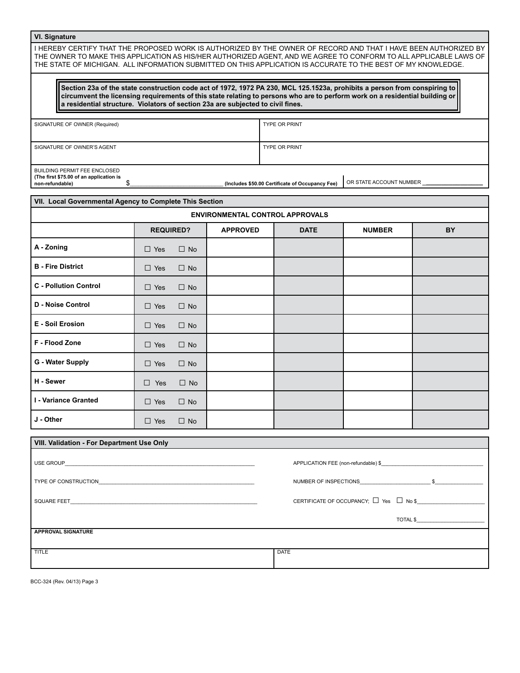# **VI. Signature**

I HEREBY CERTIFY THAT THE PROPOSED WORK IS AUTHORIZED BY THE OWNER OF RECORD AND THAT I HAVE BEEN AUTHORIZED BY THE OWNER TO MAKE THIS APPLICATION AS HIS/HER AUTHORIZED AGENT, AND WE AGREE TO CONFORM TO ALL APPLICABLE LAWS OF THE STATE OF MICHIGAN. ALL INFORMATION SUBMITTED ON THIS APPLICATION IS ACCURATE TO THE BEST OF MY KNOWLEDGE.

**Section 23a of the state construction code act of 1972, 1972 PA 230, MCL 125.1523a, prohibits a person from conspiring to circumvent the licensing requirements of this state relating to persons who are to perform work on a residential building or a residential structure. Violators of section 23a are subjected to civil fines.**

| SIGNATURE OF OWNER (Required)           |  | <b>TYPE OR PRINT</b>                            |                         |
|-----------------------------------------|--|-------------------------------------------------|-------------------------|
|                                         |  |                                                 |                         |
|                                         |  |                                                 |                         |
| SIGNATURE OF OWNER'S AGENT              |  | <b>TYPE OR PRINT</b>                            |                         |
|                                         |  |                                                 |                         |
|                                         |  |                                                 |                         |
| <b>BUILDING PERMIT FEE ENCLOSED</b>     |  |                                                 |                         |
| (The first \$75.00 of an application is |  |                                                 |                         |
| non-refundable)                         |  | (Includes \$50.00 Certificate of Occupancy Fee) | OR STATE ACCOUNT NUMBER |

| VII. Local Governmental Agency to Complete This Section |                         |                                        |             |               |    |  |  |  |  |  |  |
|---------------------------------------------------------|-------------------------|----------------------------------------|-------------|---------------|----|--|--|--|--|--|--|
|                                                         |                         | <b>ENVIRONMENTAL CONTROL APPROVALS</b> |             |               |    |  |  |  |  |  |  |
|                                                         | <b>REQUIRED?</b>        | <b>APPROVED</b>                        | <b>DATE</b> | <b>NUMBER</b> | BY |  |  |  |  |  |  |
| A - Zoning                                              | $\Box$ Yes<br>$\Box$ No |                                        |             |               |    |  |  |  |  |  |  |
| <b>B</b> - Fire District                                | $\Box$ Yes<br>$\Box$ No |                                        |             |               |    |  |  |  |  |  |  |
| <b>C</b> - Pollution Control                            | $\Box$ Yes<br>$\Box$ No |                                        |             |               |    |  |  |  |  |  |  |
| D - Noise Control                                       | $\Box$ Yes<br>$\Box$ No |                                        |             |               |    |  |  |  |  |  |  |
| <b>E</b> - Soil Erosion                                 | $\Box$ Yes<br>$\Box$ No |                                        |             |               |    |  |  |  |  |  |  |
| F - Flood Zone                                          | $\Box$ Yes<br>$\Box$ No |                                        |             |               |    |  |  |  |  |  |  |
| G - Water Supply                                        | $\Box$ Yes<br>$\Box$ No |                                        |             |               |    |  |  |  |  |  |  |
| H - Sewer                                               | $\Box$ Yes<br>$\Box$ No |                                        |             |               |    |  |  |  |  |  |  |
| I - Variance Granted                                    | $\Box$ Yes<br>$\Box$ No |                                        |             |               |    |  |  |  |  |  |  |
| J - Other                                               | $\Box$ Yes<br>$\Box$ No |                                        |             |               |    |  |  |  |  |  |  |

| <b>VIII. Validation - For Department Use Only</b>                                                                                                                                                                                    |                                     |
|--------------------------------------------------------------------------------------------------------------------------------------------------------------------------------------------------------------------------------------|-------------------------------------|
|                                                                                                                                                                                                                                      | APPLICATION FEE (non-refundable) \$ |
|                                                                                                                                                                                                                                      | NUMBER OF INSPECTIONS 5             |
| SQUARE FEET <b>And All Contract Contract Contract Contract Contract Contract Contract Contract Contract Contract Contract Contract Contract Contract Contract Contract Contract Contract Contract Contract Contract Contract Con</b> |                                     |
|                                                                                                                                                                                                                                      |                                     |
| <b>APPROVAL SIGNATURE</b>                                                                                                                                                                                                            |                                     |
| TITLE                                                                                                                                                                                                                                | <b>DATE</b>                         |

BCC-324 (Rev. 04/13) Page 3